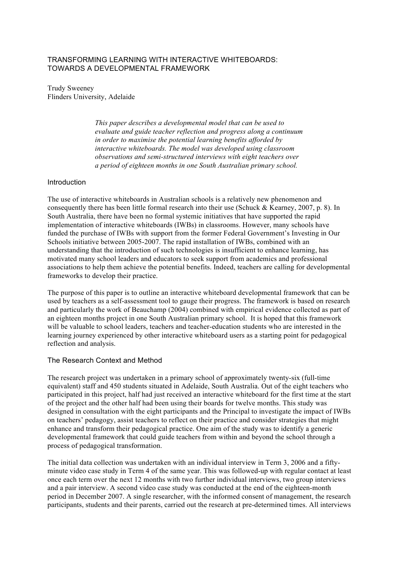# TRANSFORMING LEARNING WITH INTERACTIVE WHITEBOARDS: TOWARDS A DEVELOPMENTAL FRAMEWORK

Trudy Sweeney Flinders University, Adelaide

> *This paper describes a developmental model that can be used to evaluate and guide teacher reflection and progress along a continuum in order to maximise the potential learning benefits afforded by interactive whiteboards. The model was developed using classroom observations and semi-structured interviews with eight teachers over a period of eighteen months in one South Australian primary school.*

# Introduction

The use of interactive whiteboards in Australian schools is a relatively new phenomenon and consequently there has been little formal research into their use (Schuck & Kearney, 2007, p. 8). In South Australia, there have been no formal systemic initiatives that have supported the rapid implementation of interactive whiteboards (IWBs) in classrooms. However, many schools have funded the purchase of IWBs with support from the former Federal Government's Investing in Our Schools initiative between 2005-2007. The rapid installation of IWBs, combined with an understanding that the introduction of such technologies is insufficient to enhance learning, has motivated many school leaders and educators to seek support from academics and professional associations to help them achieve the potential benefits. Indeed, teachers are calling for developmental frameworks to develop their practice.

The purpose of this paper is to outline an interactive whiteboard developmental framework that can be used by teachers as a self-assessment tool to gauge their progress. The framework is based on research and particularly the work of Beauchamp (2004) combined with empirical evidence collected as part of an eighteen months project in one South Australian primary school. It is hoped that this framework will be valuable to school leaders, teachers and teacher-education students who are interested in the learning journey experienced by other interactive whiteboard users as a starting point for pedagogical reflection and analysis.

### The Research Context and Method

The research project was undertaken in a primary school of approximately twenty-six (full-time equivalent) staff and 450 students situated in Adelaide, South Australia. Out of the eight teachers who participated in this project, half had just received an interactive whiteboard for the first time at the start of the project and the other half had been using their boards for twelve months. This study was designed in consultation with the eight participants and the Principal to investigate the impact of IWBs on teachers' pedagogy, assist teachers to reflect on their practice and consider strategies that might enhance and transform their pedagogical practice. One aim of the study was to identify a generic developmental framework that could guide teachers from within and beyond the school through a process of pedagogical transformation.

The initial data collection was undertaken with an individual interview in Term 3, 2006 and a fiftyminute video case study in Term 4 of the same year. This was followed-up with regular contact at least once each term over the next 12 months with two further individual interviews, two group interviews and a pair interview. A second video case study was conducted at the end of the eighteen-month period in December 2007. A single researcher, with the informed consent of management, the research participants, students and their parents, carried out the research at pre-determined times. All interviews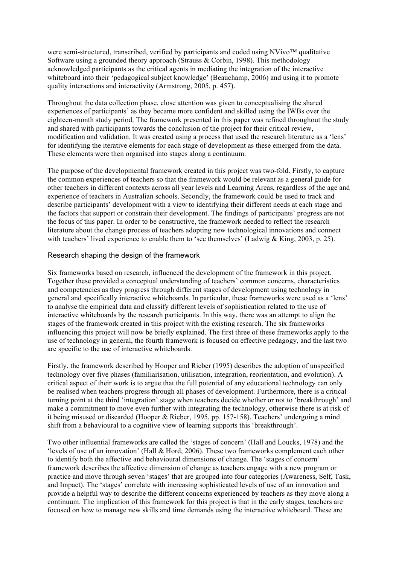were semi-structured, transcribed, verified by participants and coded using NVivo™ qualitative Software using a grounded theory approach (Strauss & Corbin, 1998). This methodology acknowledged participants as the critical agents in mediating the integration of the interactive whiteboard into their 'pedagogical subject knowledge' (Beauchamp, 2006) and using it to promote quality interactions and interactivity (Armstrong, 2005, p. 457).

Throughout the data collection phase, close attention was given to conceptualising the shared experiences of participants' as they became more confident and skilled using the IWBs over the eighteen-month study period. The framework presented in this paper was refined throughout the study and shared with participants towards the conclusion of the project for their critical review, modification and validation. It was created using a process that used the research literature as a 'lens' for identifying the iterative elements for each stage of development as these emerged from the data. These elements were then organised into stages along a continuum.

The purpose of the developmental framework created in this project was two-fold. Firstly, to capture the common experiences of teachers so that the framework would be relevant as a general guide for other teachers in different contexts across all year levels and Learning Areas, regardless of the age and experience of teachers in Australian schools. Secondly, the framework could be used to track and describe participants' development with a view to identifying their different needs at each stage and the factors that support or constrain their development. The findings of participants' progress are not the focus of this paper. In order to be constructive, the framework needed to reflect the research literature about the change process of teachers adopting new technological innovations and connect with teachers' lived experience to enable them to 'see themselves' (Ladwig & King, 2003, p. 25).

# Research shaping the design of the framework

Six frameworks based on research, influenced the development of the framework in this project. Together these provided a conceptual understanding of teachers' common concerns, characteristics and competencies as they progress through different stages of development using technology in general and specifically interactive whiteboards. In particular, these frameworks were used as a 'lens' to analyse the empirical data and classify different levels of sophistication related to the use of interactive whiteboards by the research participants. In this way, there was an attempt to align the stages of the framework created in this project with the existing research. The six frameworks influencing this project will now be briefly explained. The first three of these frameworks apply to the use of technology in general, the fourth framework is focused on effective pedagogy, and the last two are specific to the use of interactive whiteboards.

Firstly, the framework described by Hooper and Rieber (1995) describes the adoption of unspecified technology over five phases (familiarisation, utilisation, integration, reorientation, and evolution). A critical aspect of their work is to argue that the full potential of any educational technology can only be realised when teachers progress through all phases of development. Furthermore, there is a critical turning point at the third 'integration' stage when teachers decide whether or not to 'breakthrough' and make a commitment to move even further with integrating the technology, otherwise there is at risk of it being misused or discarded (Hooper & Rieber, 1995, pp. 157-158). Teachers' undergoing a mind shift from a behavioural to a cognitive view of learning supports this 'breakthrough'.

Two other influential frameworks are called the 'stages of concern' (Hall and Loucks, 1978) and the 'levels of use of an innovation' (Hall & Hord, 2006). These two frameworks complement each other to identify both the affective and behavioural dimensions of change. The 'stages of concern' framework describes the affective dimension of change as teachers engage with a new program or practice and move through seven 'stages' that are grouped into four categories (Awareness, Self, Task, and Impact). The 'stages' correlate with increasing sophisticated levels of use of an innovation and provide a helpful way to describe the different concerns experienced by teachers as they move along a continuum. The implication of this framework for this project is that in the early stages, teachers are focused on how to manage new skills and time demands using the interactive whiteboard. These are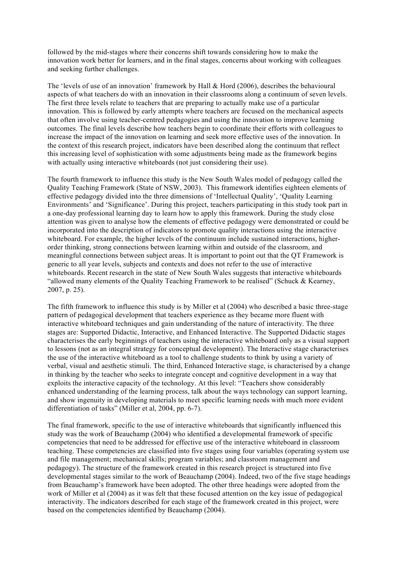followed by the mid-stages where their concerns shift towards considering how to make the innovation work better for learners, and in the final stages, concerns about working with colleagues and seeking further challenges.

The 'levels of use of an innovation' framework by Hall & Hord (2006), describes the behavioural aspects of what teachers do with an innovation in their classrooms along a continuum of seven levels. The first three levels relate to teachers that are preparing to actually make use of a particular innovation. This is followed by early attempts where teachers are focused on the mechanical aspects that often involve using teacher-centred pedagogies and using the innovation to improve learning outcomes. The final levels describe how teachers begin to coordinate their efforts with colleagues to increase the impact of the innovation on learning and seek more effective uses of the innovation. In the context of this research project, indicators have been described along the continuum that reflect this increasing level of sophistication with some adjustments being made as the framework begins with actually using interactive whiteboards (not just considering their use).

The fourth framework to influence this study is the New South Wales model of pedagogy called the Quality Teaching Framework (State of NSW, 2003). This framework identifies eighteen elements of effective pedagogy divided into the three dimensions of 'Intellectual Quality', 'Quality Learning Environments' and 'Significance'. During this project, teachers participating in this study took part in a one-day professional learning day to learn how to apply this framework. During the study close attention was given to analyse how the elements of effective pedagogy were demonstrated or could be incorporated into the description of indicators to promote quality interactions using the interactive whiteboard. For example, the higher levels of the continuum include sustained interactions, higherorder thinking, strong connections between learning within and outside of the classroom, and meaningful connections between subject areas. It is important to point out that the QT Framework is generic to all year levels, subjects and contexts and does not refer to the use of interactive whiteboards. Recent research in the state of New South Wales suggests that interactive whiteboards "allowed many elements of the Quality Teaching Framework to be realised" (Schuck & Kearney, 2007, p. 25).

The fifth framework to influence this study is by Miller et al (2004) who described a basic three-stage pattern of pedagogical development that teachers experience as they became more fluent with interactive whiteboard techniques and gain understanding of the nature of interactivity. The three stages are: Supported Didactic, Interactive, and Enhanced Interactive. The Supported Didactic stages characterises the early beginnings of teachers using the interactive whiteboard only as a visual support to lessons (not as an integral strategy for conceptual development). The Interactive stage characterises the use of the interactive whiteboard as a tool to challenge students to think by using a variety of verbal, visual and aesthetic stimuli. The third, Enhanced Interactive stage, is characterised by a change in thinking by the teacher who seeks to integrate concept and cognitive development in a way that exploits the interactive capacity of the technology. At this level: "Teachers show considerably enhanced understanding of the learning process, talk about the ways technology can support learning, and show ingenuity in developing materials to meet specific learning needs with much more evident differentiation of tasks" (Miller et al, 2004, pp. 6-7).

The final framework, specific to the use of interactive whiteboards that significantly influenced this study was the work of Beauchamp (2004) who identified a developmental framework of specific competencies that need to be addressed for effective use of the interactive whiteboard in classroom teaching. These competencies are classified into five stages using four variables (operating system use and file management; mechanical skills; program variables; and classroom management and pedagogy). The structure of the framework created in this research project is structured into five developmental stages similar to the work of Beauchamp (2004). Indeed, two of the five stage headings from Beauchamp's framework have been adopted. The other three headings were adopted from the work of Miller et al (2004) as it was felt that these focused attention on the key issue of pedagogical interactivity. The indicators described for each stage of the framework created in this project, were based on the competencies identified by Beauchamp (2004).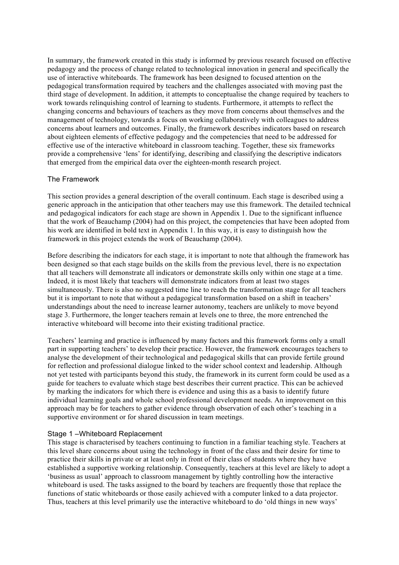In summary, the framework created in this study is informed by previous research focused on effective pedagogy and the process of change related to technological innovation in general and specifically the use of interactive whiteboards. The framework has been designed to focused attention on the pedagogical transformation required by teachers and the challenges associated with moving past the third stage of development. In addition, it attempts to conceptualise the change required by teachers to work towards relinquishing control of learning to students. Furthermore, it attempts to reflect the changing concerns and behaviours of teachers as they move from concerns about themselves and the management of technology, towards a focus on working collaboratively with colleagues to address concerns about learners and outcomes. Finally, the framework describes indicators based on research about eighteen elements of effective pedagogy and the competencies that need to be addressed for effective use of the interactive whiteboard in classroom teaching. Together, these six frameworks provide a comprehensive 'lens' for identifying, describing and classifying the descriptive indicators that emerged from the empirical data over the eighteen-month research project.

# The Framework

This section provides a general description of the overall continuum. Each stage is described using a generic approach in the anticipation that other teachers may use this framework. The detailed technical and pedagogical indicators for each stage are shown in Appendix 1. Due to the significant influence that the work of Beauchamp (2004) had on this project, the competencies that have been adopted from his work are identified in bold text in Appendix 1. In this way, it is easy to distinguish how the framework in this project extends the work of Beauchamp (2004).

Before describing the indicators for each stage, it is important to note that although the framework has been designed so that each stage builds on the skills from the previous level, there is no expectation that all teachers will demonstrate all indicators or demonstrate skills only within one stage at a time. Indeed, it is most likely that teachers will demonstrate indicators from at least two stages simultaneously. There is also no suggested time line to reach the transformation stage for all teachers but it is important to note that without a pedagogical transformation based on a shift in teachers' understandings about the need to increase learner autonomy, teachers are unlikely to move beyond stage 3. Furthermore, the longer teachers remain at levels one to three, the more entrenched the interactive whiteboard will become into their existing traditional practice.

Teachers' learning and practice is influenced by many factors and this framework forms only a small part in supporting teachers' to develop their practice. However, the framework encourages teachers to analyse the development of their technological and pedagogical skills that can provide fertile ground for reflection and professional dialogue linked to the wider school context and leadership. Although not yet tested with participants beyond this study, the framework in its current form could be used as a guide for teachers to evaluate which stage best describes their current practice. This can be achieved by marking the indicators for which there is evidence and using this as a basis to identify future individual learning goals and whole school professional development needs. An improvement on this approach may be for teachers to gather evidence through observation of each other's teaching in a supportive environment or for shared discussion in team meetings.

### Stage 1 –Whiteboard Replacement

This stage is characterised by teachers continuing to function in a familiar teaching style. Teachers at this level share concerns about using the technology in front of the class and their desire for time to practice their skills in private or at least only in front of their class of students where they have established a supportive working relationship. Consequently, teachers at this level are likely to adopt a 'business as usual' approach to classroom management by tightly controlling how the interactive whiteboard is used. The tasks assigned to the board by teachers are frequently those that replace the functions of static whiteboards or those easily achieved with a computer linked to a data projector. Thus, teachers at this level primarily use the interactive whiteboard to do 'old things in new ways'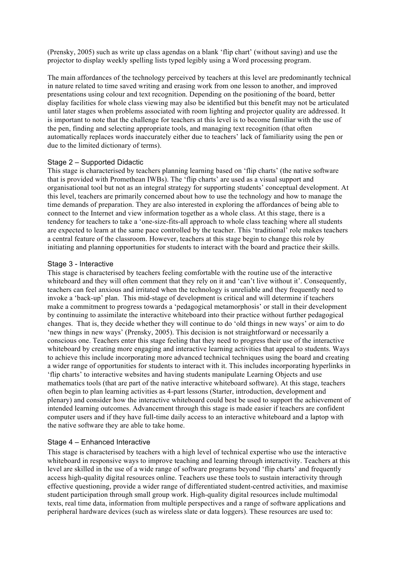(Prensky, 2005) such as write up class agendas on a blank 'flip chart' (without saving) and use the projector to display weekly spelling lists typed legibly using a Word processing program.

The main affordances of the technology perceived by teachers at this level are predominantly technical in nature related to time saved writing and erasing work from one lesson to another, and improved presentations using colour and text recognition. Depending on the positioning of the board, better display facilities for whole class viewing may also be identified but this benefit may not be articulated until later stages when problems associated with room lighting and projector quality are addressed. It is important to note that the challenge for teachers at this level is to become familiar with the use of the pen, finding and selecting appropriate tools, and managing text recognition (that often automatically replaces words inaccurately either due to teachers' lack of familiarity using the pen or due to the limited dictionary of terms).

### Stage 2 – Supported Didactic

This stage is characterised by teachers planning learning based on 'flip charts' (the native software that is provided with Promethean IWBs). The 'flip charts' are used as a visual support and organisational tool but not as an integral strategy for supporting students' conceptual development. At this level, teachers are primarily concerned about how to use the technology and how to manage the time demands of preparation. They are also interested in exploring the affordances of being able to connect to the Internet and view information together as a whole class. At this stage, there is a tendency for teachers to take a 'one-size-fits-all approach to whole class teaching where all students are expected to learn at the same pace controlled by the teacher. This 'traditional' role makes teachers a central feature of the classroom. However, teachers at this stage begin to change this role by initiating and planning opportunities for students to interact with the board and practice their skills.

#### Stage 3 - Interactive

This stage is characterised by teachers feeling comfortable with the routine use of the interactive whiteboard and they will often comment that they rely on it and 'can't live without it'. Consequently, teachers can feel anxious and irritated when the technology is unreliable and they frequently need to invoke a 'back-up' plan. This mid-stage of development is critical and will determine if teachers make a commitment to progress towards a 'pedagogical metamorphosis' or stall in their development by continuing to assimilate the interactive whiteboard into their practice without further pedagogical changes. That is, they decide whether they will continue to do 'old things in new ways' or aim to do 'new things in new ways' (Prensky, 2005). This decision is not straightforward or necessarily a conscious one. Teachers enter this stage feeling that they need to progress their use of the interactive whiteboard by creating more engaging and interactive learning activities that appeal to students. Ways to achieve this include incorporating more advanced technical techniques using the board and creating a wider range of opportunities for students to interact with it. This includes incorporating hyperlinks in 'flip charts' to interactive websites and having students manipulate Learning Objects and use mathematics tools (that are part of the native interactive whiteboard software). At this stage, teachers often begin to plan learning activities as 4-part lessons (Starter, introduction, development and plenary) and consider how the interactive whiteboard could best be used to support the achievement of intended learning outcomes. Advancement through this stage is made easier if teachers are confident computer users and if they have full-time daily access to an interactive whiteboard and a laptop with the native software they are able to take home.

### Stage 4 – Enhanced Interactive

This stage is characterised by teachers with a high level of technical expertise who use the interactive whiteboard in responsive ways to improve teaching and learning through interactivity. Teachers at this level are skilled in the use of a wide range of software programs beyond 'flip charts' and frequently access high-quality digital resources online. Teachers use these tools to sustain interactivity through effective questioning, provide a wider range of differentiated student-centred activities, and maximise student participation through small group work. High-quality digital resources include multimodal texts, real time data, information from multiple perspectives and a range of software applications and peripheral hardware devices (such as wireless slate or data loggers). These resources are used to: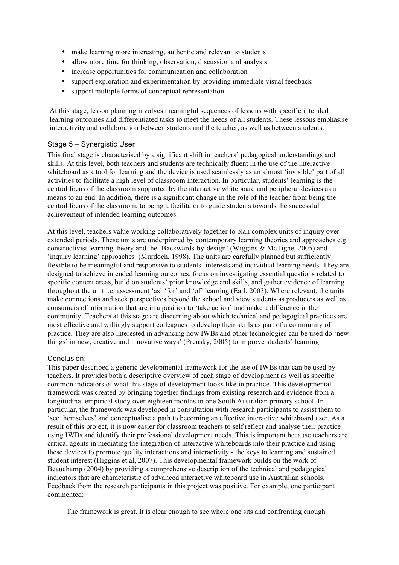- make learning more interesting, authentic and relevant to students
- allow more time for thinking, observation, discussion and analysis
- increase opportunities for communication and collaboration
- support exploration and experimentation by providing immediate visual feedback
- support multiple forms of conceptual representation

At this stage, lesson planning involves meaningful sequences of lessons with specific intended learning outcomes and differentiated tasks to meet the needs of all students. These lessons emphasise interactivity and collaboration between students and the teacher, as well as between students.

# Stage 5 – Synergistic User

This final stage is characterised by a significant shift in teachers' pedagogical understandings and skills. At this level, both teachers and students are technically fluent in the use of the interactive whiteboard as a tool for learning and the device is used seamlessly as an almost 'invisible' part of all activities to facilitate a high level of classroom interaction. In particular, students' learning is the central focus of the classroom supported by the interactive whiteboard and peripheral devices as a means to an end. In addition, there is a significant change in the role of the teacher from being the central focus of the classroom, to being a facilitator to guide students towards the successful achievement of intended learning outcomes.

At this level, teachers value working collaboratively together to plan complex units of inquiry over extended periods. These units are underpinned by contemporary learning theories and approaches e.g. constructivist learning theory and the 'Backwards-by-design' (Wiggins & McTighe, 2005) and 'inquiry learning' approaches (Murdoch, 1998). The units are carefully planned but sufficiently flexible to be meaningful and responsive to students' interests and individual learning needs. They are designed to achieve intended learning outcomes, focus on investigating essential questions related to specific content areas, build on students' prior knowledge and skills, and gather evidence of learning throughout the unit i.e. assessment 'as' 'for' and 'of' learning (Earl, 2003). Where relevant, the units make connections and seek perspectives beyond the school and view students as producers as well as consumers of information that are in a position to 'take action' and make a difference in the community. Teachers at this stage are discerning about which technical and pedagogical practices are most effective and willingly support colleagues to develop their skills as part of a community of practice. They are also interested in advancing how IWBs and other technologies can be used do 'new things' in new, creative and innovative ways' (Prensky, 2005) to improve students' learning.

### Conclusion:

This paper described a generic developmental framework for the use of IWBs that can be used by teachers. It provides both a descriptive overview of each stage of development as well as specific common indicators of what this stage of development looks like in practice. This developmental framework was created by bringing together findings from existing research and evidence from a longitudinal empirical study over eighteen months in one South Australian primary school. In particular, the framework was developed in consultation with research participants to assist them to 'see themselves' and conceptualise a path to becoming an effective interactive whiteboard user. As a result of this project, it is now easier for classroom teachers to self reflect and analyse their practice using IWBs and identify their professional development needs. This is important because teachers are critical agents in mediating the integration of interactive whiteboards into their practice and using these devices to promote quality interactions and interactivity - the keys to learning and sustained student interest (Higgins et al, 2007). This developmental framework builds on the work of Beauchamp (2004) by providing a comprehensive description of the technical and pedagogical indicators that are characteristic of advanced interactive whiteboard use in Australian schools. Feedback from the research participants in this project was positive. For example, one participant commented:

The framework is great. It is clear enough to see where one sits and confronting enough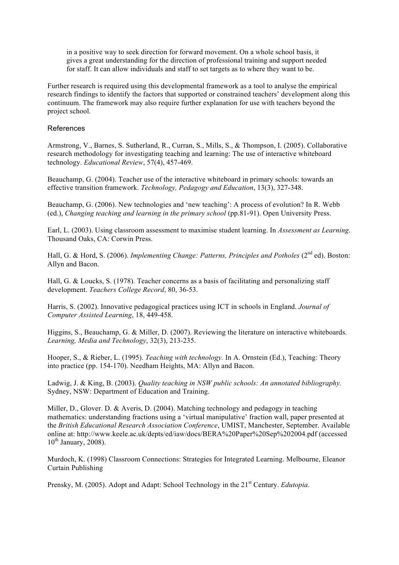in a positive way to seek direction for forward movement. On a whole school basis, it gives a great understanding for the direction of professional training and support needed for staff. It can allow individuals and staff to set targets as to where they want to be.

Further research is required using this developmental framework as a tool to analyse the empirical research findings to identify the factors that supported or constrained teachers' development along this continuum. The framework may also require further explanation for use with teachers beyond the project school.

### References

Armstrong, V., Barnes, S. Sutherland, R., Curran, S., Mills, S., & Thompson, I. (2005). Collaborative research methodology for investigating teaching and learning: The use of interactive whiteboard technology. *Educational Review*, 57(4), 457-469.

Beauchamp, G. (2004). Teacher use of the interactive whiteboard in primary schools: towards an effective transition framework. *Technology, Pedagogy and Education*, 13(3), 327-348.

Beauchamp, G. (2006). New technologies and 'new teaching': A process of evolution? In R. Webb (ed.), *Changing teaching and learning in the primary school* (pp.81-91). Open University Press.

Earl, L. (2003). Using classroom assessment to maximise student learning. In *Assessment as Learning*. Thousand Oaks, CA: Corwin Press.

Hall, G. & Hord, S. (2006). *Implementing Change: Patterns, Principles and Potholes* (2<sup>nd</sup> ed). Boston: Allyn and Bacon.

Hall, G. & Loucks, S. (1978). Teacher concerns as a basis of facilitating and personalizing staff development. *Teachers College Record*, 80, 36-53.

Harris, S. (2002). Innovative pedagogical practices using ICT in schools in England. *Journal of Computer Assisted Learning*, 18, 449-458.

Higgins, S., Beauchamp, G. & Miller, D. (2007). Reviewing the literature on interactive whiteboards. *Learning, Media and Technology*, 32(3), 213-235.

Hooper, S., & Rieber, L. (1995). *Teaching with technology.* In A. Ornstein (Ed.), Teaching: Theory into practice (pp. 154-170). Needham Heights, MA: Allyn and Bacon.

Ladwig, J. & King, B. (2003). *Quality teaching in NSW public schools: An annotated bibliography.* Sydney, NSW: Department of Education and Training.

Miller, D., Glover. D. & Averis, D. (2004). Matching technology and pedagogy in teaching mathematics: understanding fractions using a 'virtual manipulative' fraction wall, paper presented at the *British Educational Research Association Conference*, UMIST, Manchester, September. Available online at: http://www.keele.ac.uk/depts/ed/iaw/docs/BERA%20Paper%20Sep%202004.pdf (accessed  $10^{th}$  January, 2008).

Murdoch, K. (1998) Classroom Connections: Strategies for Integrated Learning. Melbourne, Eleanor Curtain Publishing

Prensky, M. (2005). Adopt and Adapt: School Technology in the 21<sup>st</sup> Century. *Edutopia*.